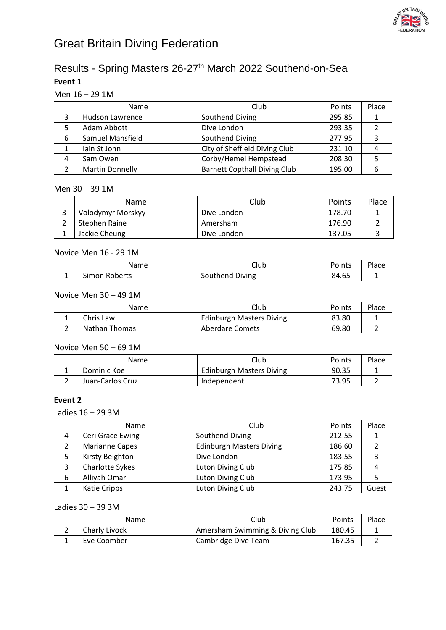

# Great Britain Diving Federation

# Results - Spring Masters 26-27<sup>th</sup> March 2022 Southend-on-Sea **Event 1**

## Men 16 – 29 1M

|   | Name                   | Club                                | Points | Place |
|---|------------------------|-------------------------------------|--------|-------|
|   | Hudson Lawrence        | Southend Diving                     | 295.85 |       |
| 5 | Adam Abbott            | Dive London                         | 293.35 |       |
| 6 | Samuel Mansfield       | Southend Diving                     | 277.95 |       |
|   | lain St John           | City of Sheffield Diving Club       | 231.10 |       |
| 4 | Sam Owen               | Corby/Hemel Hempstead               | 208.30 |       |
|   | <b>Martin Donnelly</b> | <b>Barnett Copthall Diving Club</b> | 195.00 |       |

#### Men 30 – 39 1M

| <b>Name</b>       | Club        | Points | Place |
|-------------------|-------------|--------|-------|
| Volodymyr Morskyy | Dive London | 178.70 |       |
| Stephen Raine     | Amersham    | 176.90 |       |
| Jackie Cheung     | Dive London | 137.05 |       |

## Novice Men 16 - 29 1M

| Name          | Club            | Points | Place |
|---------------|-----------------|--------|-------|
| Simon Roberts | Southend Diving | 84.65  |       |

## Novice Men 30 – 49 1M

| Name          | Club                            | Points | Place |
|---------------|---------------------------------|--------|-------|
| Chris Law     | <b>Edinburgh Masters Diving</b> | 83.80  |       |
| Nathan Thomas | Aberdare Comets                 | 69.80  |       |

## Novice Men 50 – 69 1M

| Name             | Club                            | Points | Place |
|------------------|---------------------------------|--------|-------|
| Dominic Koe      | <b>Edinburgh Masters Diving</b> | 90.35  |       |
| Juan-Carlos Cruz | Independent                     | 73.95  |       |

## **Event 2**

### Ladies 16 – 29 3M

|   | Name                  | Club                            | Points | Place |
|---|-----------------------|---------------------------------|--------|-------|
| 4 | Ceri Grace Ewing      | Southend Diving                 | 212.55 |       |
|   | <b>Marianne Capes</b> | <b>Edinburgh Masters Diving</b> | 186.60 |       |
| 5 | Kirsty Beighton       | Dive London                     | 183.55 |       |
| 3 | Charlotte Sykes       | Luton Diving Club               | 175.85 |       |
| 6 | Alliyah Omar          | Luton Diving Club               | 173.95 |       |
|   | Katie Cripps          | Luton Diving Club               | 243.75 | Guest |

# Ladies 30 – 39 3M

| <b>Name</b>   | Club                            | Points | Place |
|---------------|---------------------------------|--------|-------|
| Charly Livock | Amersham Swimming & Diving Club | 180.45 |       |
| Eve Coomber   | Cambridge Dive Team             | 167.35 |       |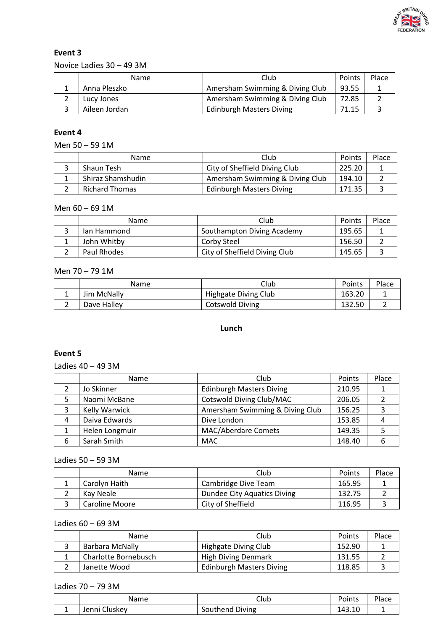

Novice Ladies 30 – 49 3M

| Name          | Club                            | Points | Place |
|---------------|---------------------------------|--------|-------|
| Anna Pleszko  | Amersham Swimming & Diving Club | 93.55  |       |
| Lucy Jones    | Amersham Swimming & Diving Club | 72.85  |       |
| Aileen Jordan | <b>Edinburgh Masters Diving</b> | 71.15  |       |

# **Event 4**

Men 50 – 59 1M

| Name                  | Club                            | Points | Place |
|-----------------------|---------------------------------|--------|-------|
| Shaun Tesh            | City of Sheffield Diving Club   | 225.20 |       |
| Shiraz Shamshudin     | Amersham Swimming & Diving Club | 194.10 |       |
| <b>Richard Thomas</b> | <b>Edinburgh Masters Diving</b> | 171.35 |       |

#### Men 60 – 69 1M

| <b>Name</b> | Club                          | Points | Place |
|-------------|-------------------------------|--------|-------|
| lan Hammond | Southampton Diving Academy    | 195.65 |       |
| John Whitby | Corby Steel                   | 156.50 |       |
| Paul Rhodes | City of Sheffield Diving Club | 145.65 |       |

#### Men 70 – 79 1M

|   | Name        | Club                 | Points | Place |
|---|-------------|----------------------|--------|-------|
| - | Jim McNally | Highgate Diving Club | 163.20 |       |
|   | Dave Halley | Cotswold Diving      | 132.50 |       |

# **Lunch**

## **Event 5**

Ladies 40 – 49 3M

|   | Name           | Club                            | Points | Place |
|---|----------------|---------------------------------|--------|-------|
|   | Jo Skinner     | <b>Edinburgh Masters Diving</b> | 210.95 |       |
| 5 | Naomi McBane   | Cotswold Diving Club/MAC        | 206.05 |       |
|   | Kelly Warwick  | Amersham Swimming & Diving Club | 156.25 |       |
| 4 | Daiva Edwards  | Dive London                     | 153.85 |       |
|   | Helen Longmuir | <b>MAC/Aberdare Comets</b>      | 149.35 |       |
| 6 | Sarah Smith    | <b>MAC</b>                      | 148.40 |       |

## Ladies 50 – 59 3M

| Name           | Club                        | Points | Place |
|----------------|-----------------------------|--------|-------|
| Carolyn Haith  | Cambridge Dive Team         | 165.95 |       |
| Kay Neale      | Dundee City Aquatics Diving | 132.75 |       |
| Caroline Moore | City of Sheffield           | 116.95 |       |

Ladies 60 – 69 3M

| Name                 | Club                            | Points | Place |
|----------------------|---------------------------------|--------|-------|
| Barbara McNally      | Highgate Diving Club            | 152.90 |       |
| Charlotte Bornebusch | <b>High Diving Denmark</b>      | 131.55 |       |
| Janette Wood         | <b>Edinburgh Masters Diving</b> | 118.85 |       |

Ladies 70 – 79 3M

| Name          | Club            | Points | Place |
|---------------|-----------------|--------|-------|
| Jenni Cluskev | Southend Diving | 143.10 |       |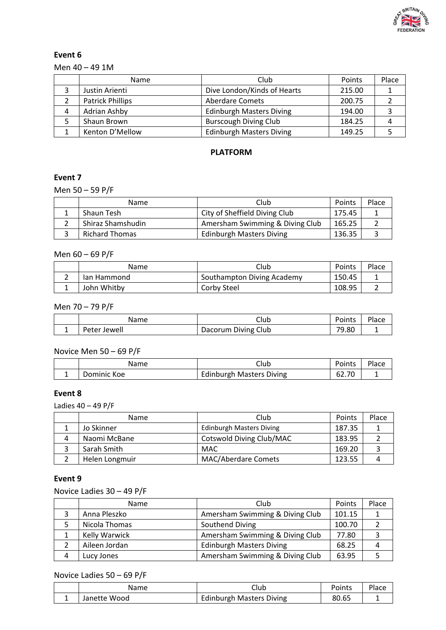

Men 40 – 49 1M

|   | Name                    | Club                            | Points | Place |
|---|-------------------------|---------------------------------|--------|-------|
|   | Justin Arienti          | Dive London/Kinds of Hearts     | 215.00 |       |
|   | <b>Patrick Phillips</b> | <b>Aberdare Comets</b>          | 200.75 |       |
| 4 | Adrian Ashby            | <b>Edinburgh Masters Diving</b> | 194.00 |       |
|   | Shaun Brown             | <b>Burscough Diving Club</b>    | 184.25 |       |
|   | Kenton D'Mellow         | <b>Edinburgh Masters Diving</b> | 149.25 |       |

# **PLATFORM**

# **Event 7**

Men 50 – 59 P/F

| <b>Name</b>           | Club                            | Points | Place |
|-----------------------|---------------------------------|--------|-------|
| Shaun Tesh            | City of Sheffield Diving Club   | 175.45 |       |
| Shiraz Shamshudin     | Amersham Swimming & Diving Club | 165.25 |       |
| <b>Richard Thomas</b> | <b>Edinburgh Masters Diving</b> | 136.35 |       |

# Men 60 – 69 P/F

| Name        | Club                       | Points | Place |
|-------------|----------------------------|--------|-------|
| lan Hammond | Southampton Diving Academy | 150.45 |       |
| John Whitby | Corby Steel                | 108.95 |       |

#### Men 70 – 79 P/F

| Name         | Club                | Points | Place |
|--------------|---------------------|--------|-------|
| Peter Jewell | Dacorum Diving Club | 79.80  | -     |

## Novice Men 50 – 69 P/F

| Name        | Club                            | Points | Place |
|-------------|---------------------------------|--------|-------|
| Dominic Koe | <b>Edinburgh Masters Diving</b> | 62.70  |       |

## **Event 8**

Ladies 40 – 49 P/F

|   | <b>Name</b>    | Club                            | Points | Place |
|---|----------------|---------------------------------|--------|-------|
|   | Jo Skinner     | <b>Edinburgh Masters Diving</b> | 187.35 |       |
| Δ | Naomi McBane   | Cotswold Diving Club/MAC        | 183.95 |       |
|   | Sarah Smith    | <b>MAC</b>                      | 169.20 |       |
|   | Helen Longmuir | <b>MAC/Aberdare Comets</b>      | 123.55 |       |

# **Event 9**

Novice Ladies 30 – 49 P/F

|   | <b>Name</b>          | Club                            | Points | Place |
|---|----------------------|---------------------------------|--------|-------|
|   | Anna Pleszko         | Amersham Swimming & Diving Club | 101.15 |       |
|   | Nicola Thomas        | Southend Diving                 | 100.70 |       |
|   | <b>Kelly Warwick</b> | Amersham Swimming & Diving Club | 77.80  |       |
|   | Aileen Jordan        | <b>Edinburgh Masters Diving</b> | 68.25  |       |
| 4 | Lucy Jones           | Amersham Swimming & Diving Club | 63.95  |       |

# Novice Ladies 50 – 69 P/F

| Name         | Jlub                     | Points                 |  |
|--------------|--------------------------|------------------------|--|
| Janette Wood | Edinburgh Masters Diving | $\sim$ $\sim$<br>80.OS |  |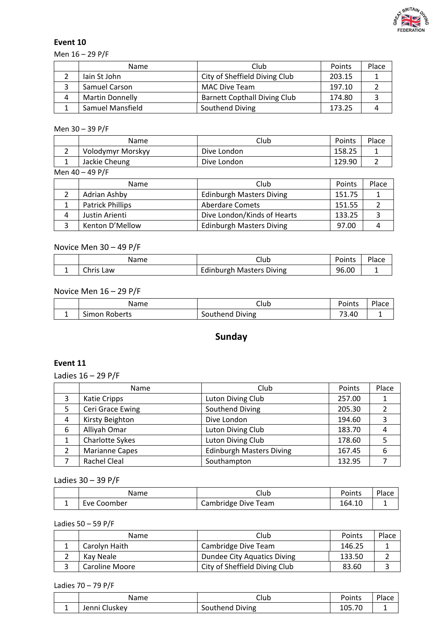

Men 16 – 29 P/F

|   | <b>Name</b>             | Club                                | Points | Place |
|---|-------------------------|-------------------------------------|--------|-------|
|   | lain St John            | City of Sheffield Diving Club       | 203.15 |       |
|   | Samuel Carson           | <b>MAC Dive Team</b>                | 197.10 |       |
| 4 | <b>Martin Donnelly</b>  | <b>Barnett Copthall Diving Club</b> | 174.80 |       |
|   | <b>Samuel Mansfield</b> | Southend Diving                     | 173.25 |       |

Men 30 – 39 P/F

| Name              | Club        | Points | Place |
|-------------------|-------------|--------|-------|
| Volodymyr Morskyy | Dive London | 158.25 |       |
| Jackie Cheung     | Dive London | 129.90 |       |

Men 40 – 49 P/F

|   | <b>Name</b>             | Club                            | Points | Place |
|---|-------------------------|---------------------------------|--------|-------|
|   | Adrian Ashby            | <b>Edinburgh Masters Diving</b> | 151.75 |       |
|   | <b>Patrick Phillips</b> | <b>Aberdare Comets</b>          | 151.55 |       |
| 4 | Justin Arienti          | Dive London/Kinds of Hearts     | 133.25 |       |
|   | Kenton D'Mellow         | <b>Edinburgh Masters Diving</b> | 97.00  |       |

Novice Men 30 – 49 P/F

| Name      | Club                            | Points | Place |
|-----------|---------------------------------|--------|-------|
| Chris Law | <b>Edinburgh Masters Diving</b> | 96.00  |       |

Novice Men 16 – 29 P/F

| Name                    | Club            | Points    | Place |
|-------------------------|-----------------|-----------|-------|
| $\sim$<br>Simon Roberts | Southend Diving | ⊸<br>3.40 |       |

# **Sunday**

# **Event 11**

Ladies 16 – 29 P/F

|   | Name                  | Club                            | Points | Place |
|---|-----------------------|---------------------------------|--------|-------|
| 3 | Katie Cripps          | Luton Diving Club               | 257.00 |       |
| 5 | Ceri Grace Ewing      | Southend Diving                 | 205.30 |       |
| 4 | Kirsty Beighton       | Dive London                     | 194.60 |       |
| 6 | Alliyah Omar          | Luton Diving Club               | 183.70 |       |
|   | Charlotte Sykes       | Luton Diving Club               | 178.60 |       |
|   | <b>Marianne Capes</b> | <b>Edinburgh Masters Diving</b> | 167.45 |       |
|   | Rachel Cleal          | Southampton                     | 132.95 |       |

Ladies 30 – 39 P/F

| Name        | Club                | Points | Place |
|-------------|---------------------|--------|-------|
| Eve Coomber | Cambridge Dive Team | 164.10 |       |

Ladies 50 – 59 P/F

| <b>Name</b>           | Club                          | Points | Place |
|-----------------------|-------------------------------|--------|-------|
| Carolyn Haith         | Cambridge Dive Team           | 146.25 |       |
| Kay Neale             | Dundee City Aquatics Diving   | 133.50 |       |
| <b>Caroline Moore</b> | City of Sheffield Diving Club | 83.60  |       |

Ladies 70 – 79 P/F

|          | Name                      | Club               | Points                       | $D = 0$<br>1dCE |
|----------|---------------------------|--------------------|------------------------------|-----------------|
| <b>.</b> | $\sim$<br>i lenni<br>:kev | Diving<br>Southend | $\neg$<br><b>OL</b><br>⊥∪J., | -               |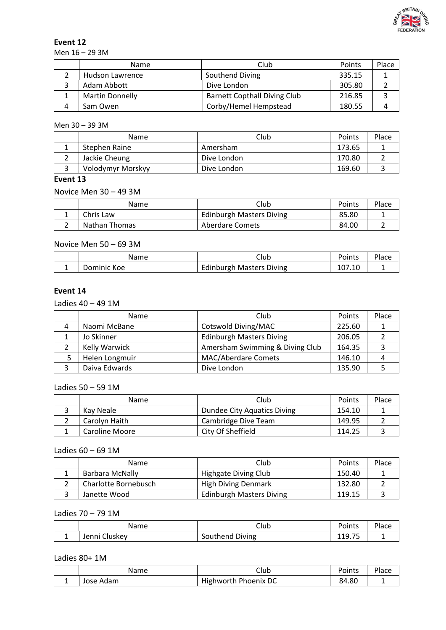

Men 16 – 29 3M

| <b>Name</b>            | Club                                | Points | Place |
|------------------------|-------------------------------------|--------|-------|
| Hudson Lawrence        | Southend Diving                     | 335.15 |       |
| Adam Abbott            | Dive London                         | 305.80 |       |
| <b>Martin Donnelly</b> | <b>Barnett Copthall Diving Club</b> | 216.85 |       |
| Sam Owen               | Corby/Hemel Hempstead               | 180.55 |       |

### Men 30 – 39 3M

| Name              | Club        | Points | Place |
|-------------------|-------------|--------|-------|
| Stephen Raine     | Amersham    | 173.65 |       |
| Jackie Cheung     | Dive London | 170.80 |       |
| Volodymyr Morskyy | Dive London | 169.60 |       |

# **Event 13**

Novice Men 30 – 49 3M

| Name          | Club                            | Points | Place |
|---------------|---------------------------------|--------|-------|
| Chris Law     | <b>Edinburgh Masters Diving</b> | 85.80  |       |
| Nathan Thomas | Aberdare Comets                 | 84.00  |       |

## Novice Men 50 – 69 3M

| Name        | Club                            | Points | Place |
|-------------|---------------------------------|--------|-------|
| Dominic Koe | <b>Edinburgh Masters Diving</b> | 107.10 |       |

# **Event 14**

Ladies 40 – 49 1M

|   | Name           | Club                            | Points | Place |
|---|----------------|---------------------------------|--------|-------|
| 4 | Naomi McBane   | Cotswold Diving/MAC             | 225.60 |       |
|   | Jo Skinner     | <b>Edinburgh Masters Diving</b> | 206.05 |       |
|   | Kelly Warwick  | Amersham Swimming & Diving Club | 164.35 |       |
|   | Helen Longmuir | <b>MAC/Aberdare Comets</b>      | 146.10 |       |
|   | Daiva Edwards  | Dive London                     | 135.90 |       |

### Ladies 50 – 59 1M

| Name           | Club                        | Points | Place |
|----------------|-----------------------------|--------|-------|
| Kav Neale      | Dundee City Aquatics Diving | 154.10 |       |
| Carolyn Haith  | Cambridge Dive Team         | 149.95 |       |
| Caroline Moore | City Of Sheffield           | 114.25 |       |

#### Ladies 60 – 69 1M

| <b>Name</b>          | Club                            | Points | Place |
|----------------------|---------------------------------|--------|-------|
| Barbara McNally      | Highgate Diving Club            | 150.40 |       |
| Charlotte Bornebusch | <b>High Diving Denmark</b>      | 132.80 |       |
| Janette Wood         | <b>Edinburgh Masters Diving</b> | 119.15 |       |

# Ladies 70 – 79 1M

|               | Name          | Club            | Points             | Place |
|---------------|---------------|-----------------|--------------------|-------|
| <u>. на с</u> | Jenni Cluskev | Southend Diving | フロ<br>110<br>----- |       |

# Ladies 80+ 1M

|          | Name      | Club                 | Points | Place |
|----------|-----------|----------------------|--------|-------|
| <b>.</b> | Jose Adam | Highworth Phoenix DC | 84.80  |       |